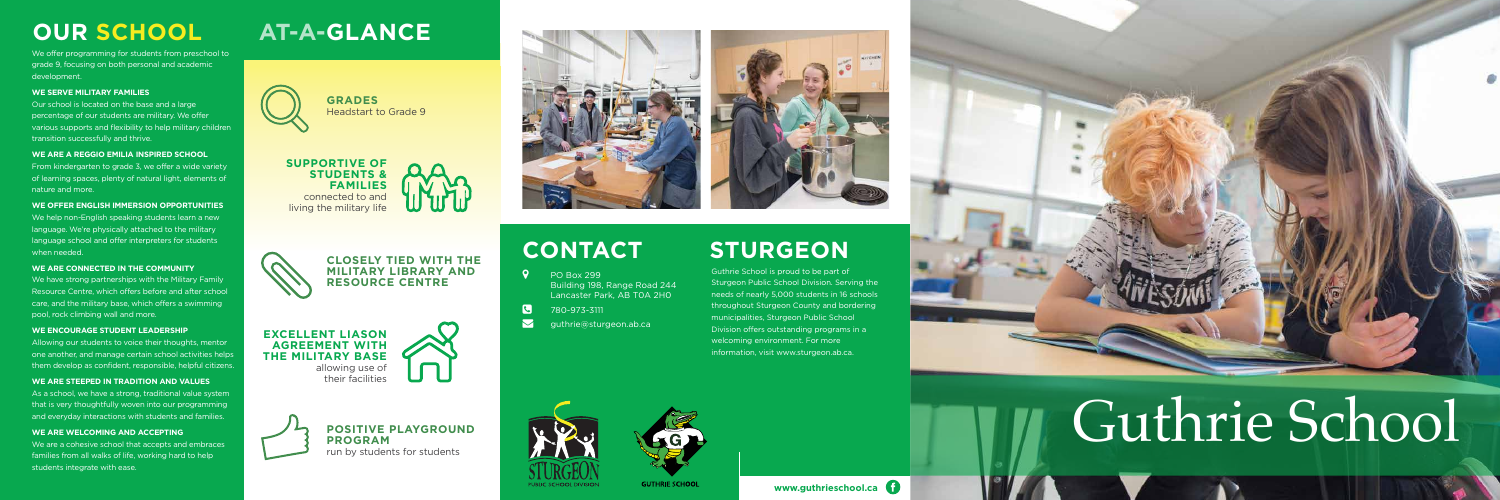**EXCELLENT LIASON AGREEMENT WITH THE MILITARY BASE**  allowing use of their facilities





# **AT-A-GLANCE**



**POSITIVE PLAYGROUND PROGRAM** run by students for students





### **CLOSELY TIED WITH THE MILITARY LIBRARY AND RESOURCE CENTRE**

# **OUR SCHOOL**

We offer programming for students from preschool to grade 9, focusing on both personal and academic development.

### **WE SERVE MILITARY FAMILIES**

Our school is located on the base and a large percentage of our students are military. We offer various supports and flexibility to help military children transition successfully and thrive.

### **WE ARE A REGGIO EMILIA INSPIRED SCHOOL**

From kindergarten to grade 3, we offer a wide variety of learning spaces, plenty of natural light, elements of nature and more.

As a school, we have a strong, traditional value system that is very thoughtfully woven into our programming and everyday interactions with students and families.

**WE OFFER ENGLISH IMMERSION OPPORTUNITIES**

We are a cohesive school that accepts and embraces families from all walks of life, working hard to help students integrate with ease.

We help non-English speaking students learn a new language. We're physically attached to the military language school and offer interpreters for students when needed.

### **WE ARE CONNECTED IN THE COMMUNITY**

We have strong partnerships with the Military Family Resource Centre, which offers before and after school care, and the military base, which offers a swimming pool, rock climbing wall and more.

### **WE ENCOURAGE STUDENT LEADERSHIP**

Allowing our students to voice their thoughts, mentor one another, and manage certain school activities helps them develop as confident, responsible, helpful citizens.

### **WE ARE STEEPED IN TRADITION AND VALUES**

### **WE ARE WELCOMING AND ACCEPTING**

- 
- 780-973-3111
- 





# Guthrie School